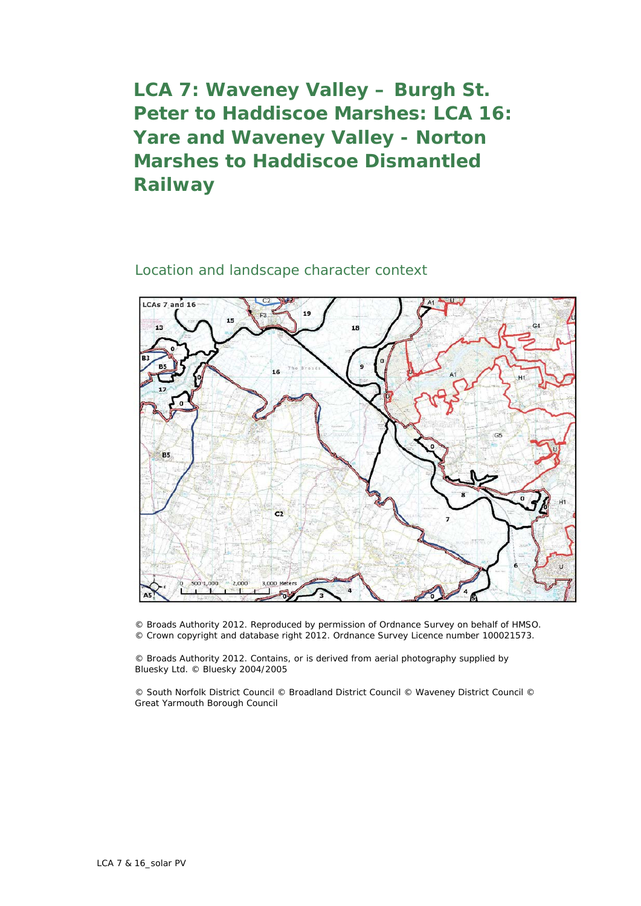## **LCA 7: Waveney Valley – Burgh St. Peter to Haddiscoe Marshes: LCA 16: Yare and Waveney Valley - Norton Marshes to Haddiscoe Dismantled Railway**

## Location and landscape character context



© Broads Authority 2012. Reproduced by permission of Ordnance Survey on behalf of HMSO. © Crown copyright and database right 2012. Ordnance Survey Licence number 100021573.

© Broads Authority 2012. Contains, or is derived from aerial photography supplied by Bluesky Ltd. © Bluesky 2004/2005

© South Norfolk District Council © Broadland District Council © Waveney District Council © Great Yarmouth Borough Council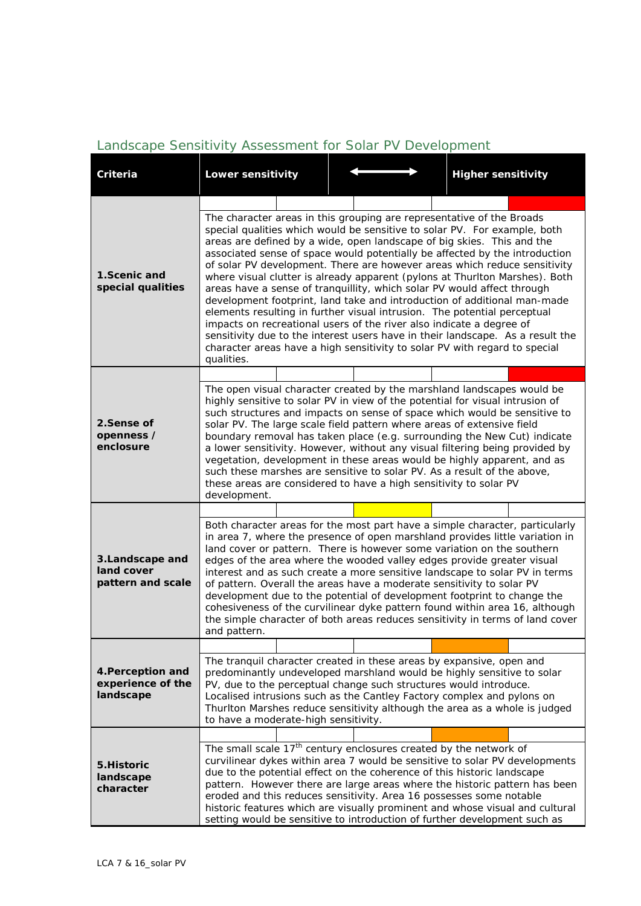## *Landscape Sensitivity Assessment for Solar PV Development*

| <b>Criteria</b>                                     | Lower sensitivity                                                                                                                                                                                                                                                                                                                                                                                                                                                                                                                                                                                                                                                                                                                                                                                                                                                                                                                                                |  |  |  | <b>Higher sensitivity</b> |  |  |
|-----------------------------------------------------|------------------------------------------------------------------------------------------------------------------------------------------------------------------------------------------------------------------------------------------------------------------------------------------------------------------------------------------------------------------------------------------------------------------------------------------------------------------------------------------------------------------------------------------------------------------------------------------------------------------------------------------------------------------------------------------------------------------------------------------------------------------------------------------------------------------------------------------------------------------------------------------------------------------------------------------------------------------|--|--|--|---------------------------|--|--|
|                                                     |                                                                                                                                                                                                                                                                                                                                                                                                                                                                                                                                                                                                                                                                                                                                                                                                                                                                                                                                                                  |  |  |  |                           |  |  |
| 1.Scenic and<br>special qualities                   | The character areas in this grouping are representative of the Broads<br>special qualities which would be sensitive to solar PV. For example, both<br>areas are defined by a wide, open landscape of big skies. This and the<br>associated sense of space would potentially be affected by the introduction<br>of solar PV development. There are however areas which reduce sensitivity<br>where visual clutter is already apparent (pylons at Thurlton Marshes). Both<br>areas have a sense of tranquillity, which solar PV would affect through<br>development footprint, land take and introduction of additional man-made<br>elements resulting in further visual intrusion. The potential perceptual<br>impacts on recreational users of the river also indicate a degree of<br>sensitivity due to the interest users have in their landscape. As a result the<br>character areas have a high sensitivity to solar PV with regard to special<br>qualities. |  |  |  |                           |  |  |
|                                                     |                                                                                                                                                                                                                                                                                                                                                                                                                                                                                                                                                                                                                                                                                                                                                                                                                                                                                                                                                                  |  |  |  |                           |  |  |
| 2.Sense of<br>openness /<br>enclosure               | The open visual character created by the marshland landscapes would be<br>highly sensitive to solar PV in view of the potential for visual intrusion of<br>such structures and impacts on sense of space which would be sensitive to<br>solar PV. The large scale field pattern where areas of extensive field<br>boundary removal has taken place (e.g. surrounding the New Cut) indicate<br>a lower sensitivity. However, without any visual filtering being provided by<br>vegetation, development in these areas would be highly apparent, and as<br>such these marshes are sensitive to solar PV. As a result of the above,<br>these areas are considered to have a high sensitivity to solar PV<br>development.                                                                                                                                                                                                                                            |  |  |  |                           |  |  |
|                                                     |                                                                                                                                                                                                                                                                                                                                                                                                                                                                                                                                                                                                                                                                                                                                                                                                                                                                                                                                                                  |  |  |  |                           |  |  |
| 3. Landscape and<br>land cover<br>pattern and scale | Both character areas for the most part have a simple character, particularly<br>in area 7, where the presence of open marshland provides little variation in<br>land cover or pattern. There is however some variation on the southern<br>edges of the area where the wooded valley edges provide greater visual<br>interest and as such create a more sensitive landscape to solar PV in terms<br>of pattern. Overall the areas have a moderate sensitivity to solar PV<br>development due to the potential of development footprint to change the<br>cohesiveness of the curvilinear dyke pattern found within area 16, although<br>the simple character of both areas reduces sensitivity in terms of land cover<br>and pattern.                                                                                                                                                                                                                              |  |  |  |                           |  |  |
|                                                     |                                                                                                                                                                                                                                                                                                                                                                                                                                                                                                                                                                                                                                                                                                                                                                                                                                                                                                                                                                  |  |  |  |                           |  |  |
| 4. Perception and<br>experience of the<br>landscape | The tranquil character created in these areas by expansive, open and<br>predominantly undeveloped marshland would be highly sensitive to solar<br>PV, due to the perceptual change such structures would introduce.<br>Localised intrusions such as the Cantley Factory complex and pylons on<br>Thurlton Marshes reduce sensitivity although the area as a whole is judged<br>to have a moderate-high sensitivity.                                                                                                                                                                                                                                                                                                                                                                                                                                                                                                                                              |  |  |  |                           |  |  |
| 5. Historic<br>landscape<br>character               |                                                                                                                                                                                                                                                                                                                                                                                                                                                                                                                                                                                                                                                                                                                                                                                                                                                                                                                                                                  |  |  |  |                           |  |  |
|                                                     | The small scale 17 <sup>th</sup> century enclosures created by the network of<br>curvilinear dykes within area 7 would be sensitive to solar PV developments<br>due to the potential effect on the coherence of this historic landscape<br>pattern. However there are large areas where the historic pattern has been<br>eroded and this reduces sensitivity. Area 16 possesses some notable<br>historic features which are visually prominent and whose visual and cultural<br>setting would be sensitive to introduction of further development such as                                                                                                                                                                                                                                                                                                                                                                                                        |  |  |  |                           |  |  |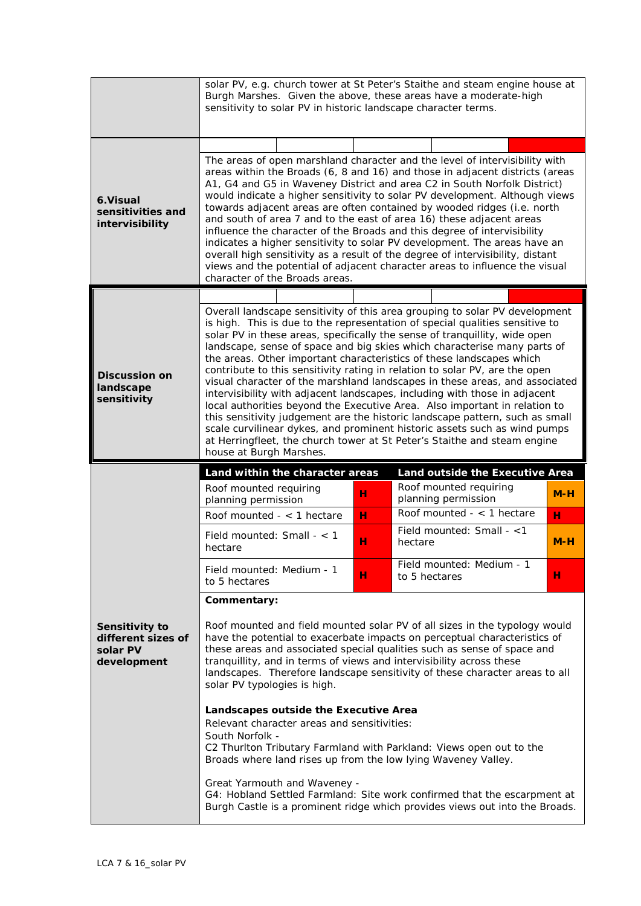| The areas of open marshland character and the level of intervisibility with<br>areas within the Broads (6, 8 and 16) and those in adjacent districts (areas<br>A1, G4 and G5 in Waveney District and area C2 in South Norfolk District)<br>would indicate a higher sensitivity to solar PV development. Although views<br>towards adjacent areas are often contained by wooded ridges (i.e. north<br>and south of area 7 and to the east of area 16) these adjacent areas<br>influence the character of the Broads and this degree of intervisibility<br>indicates a higher sensitivity to solar PV development. The areas have an<br>overall high sensitivity as a result of the degree of intervisibility, distant<br>views and the potential of adjacent character areas to influence the visual                                                                                                                                                                                         |  |  |  |  |  |
|---------------------------------------------------------------------------------------------------------------------------------------------------------------------------------------------------------------------------------------------------------------------------------------------------------------------------------------------------------------------------------------------------------------------------------------------------------------------------------------------------------------------------------------------------------------------------------------------------------------------------------------------------------------------------------------------------------------------------------------------------------------------------------------------------------------------------------------------------------------------------------------------------------------------------------------------------------------------------------------------|--|--|--|--|--|
|                                                                                                                                                                                                                                                                                                                                                                                                                                                                                                                                                                                                                                                                                                                                                                                                                                                                                                                                                                                             |  |  |  |  |  |
|                                                                                                                                                                                                                                                                                                                                                                                                                                                                                                                                                                                                                                                                                                                                                                                                                                                                                                                                                                                             |  |  |  |  |  |
|                                                                                                                                                                                                                                                                                                                                                                                                                                                                                                                                                                                                                                                                                                                                                                                                                                                                                                                                                                                             |  |  |  |  |  |
| Overall landscape sensitivity of this area grouping to solar PV development<br>is high. This is due to the representation of special qualities sensitive to<br>solar PV in these areas, specifically the sense of tranquillity, wide open<br>landscape, sense of space and big skies which characterise many parts of<br>the areas. Other important characteristics of these landscapes which<br>contribute to this sensitivity rating in relation to solar PV, are the open<br>visual character of the marshland landscapes in these areas, and associated<br>intervisibility with adjacent landscapes, including with those in adjacent<br>local authorities beyond the Executive Area. Also important in relation to<br>this sensitivity judgement are the historic landscape pattern, such as small<br>scale curvilinear dykes, and prominent historic assets such as wind pumps<br>at Herringfleet, the church tower at St Peter's Staithe and steam engine<br>house at Burgh Marshes. |  |  |  |  |  |
| Land outside the Executive Area                                                                                                                                                                                                                                                                                                                                                                                                                                                                                                                                                                                                                                                                                                                                                                                                                                                                                                                                                             |  |  |  |  |  |
| Roof mounted requiring<br>$M-H$                                                                                                                                                                                                                                                                                                                                                                                                                                                                                                                                                                                                                                                                                                                                                                                                                                                                                                                                                             |  |  |  |  |  |
| н                                                                                                                                                                                                                                                                                                                                                                                                                                                                                                                                                                                                                                                                                                                                                                                                                                                                                                                                                                                           |  |  |  |  |  |
| $M-H$                                                                                                                                                                                                                                                                                                                                                                                                                                                                                                                                                                                                                                                                                                                                                                                                                                                                                                                                                                                       |  |  |  |  |  |
| Field mounted: Medium - 1<br>н                                                                                                                                                                                                                                                                                                                                                                                                                                                                                                                                                                                                                                                                                                                                                                                                                                                                                                                                                              |  |  |  |  |  |
|                                                                                                                                                                                                                                                                                                                                                                                                                                                                                                                                                                                                                                                                                                                                                                                                                                                                                                                                                                                             |  |  |  |  |  |
| Roof mounted and field mounted solar PV of all sizes in the typology would<br>Sensitivity to<br>have the potential to exacerbate impacts on perceptual characteristics of<br>different sizes of<br>these areas and associated special qualities such as sense of space and<br>tranquillity, and in terms of views and intervisibility across these<br>development<br>landscapes. Therefore landscape sensitivity of these character areas to all<br>solar PV typologies is high.<br>Landscapes outside the Executive Area<br>Relevant character areas and sensitivities:<br>South Norfolk -<br>C2 Thurlton Tributary Farmland with Parkland: Views open out to the<br>Broads where land rises up from the low lying Waveney Valley.<br>Great Yarmouth and Waveney -<br>G4: Hobland Settled Farmland: Site work confirmed that the escarpment at<br>Burgh Castle is a prominent ridge which provides views out into the Broads.                                                              |  |  |  |  |  |
| Roof mounted $-$ < 1 hectare<br>Field mounted: Small - $<$ 1                                                                                                                                                                                                                                                                                                                                                                                                                                                                                                                                                                                                                                                                                                                                                                                                                                                                                                                                |  |  |  |  |  |